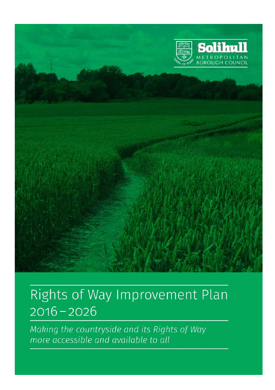

# $\overline{a}$ ì  $2016 - 2026$

Making the countryside and its Rights of Way more accessible and available to all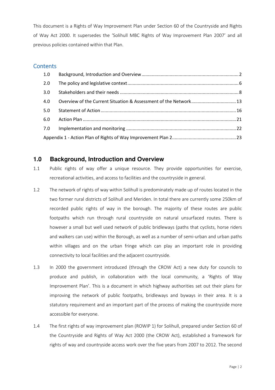This document is a Rights of Way Improvement Plan under Section 60 of the Countryside and Rights of Way Act 2000. It supersedes the 'Solihull MBC Rights of Way Improvement Plan 2007' and all previous policies contained within that Plan.

### **Contents**

| $1.0\,$ |  |  |  |  |
|---------|--|--|--|--|
| 2.0     |  |  |  |  |
| 3.0     |  |  |  |  |
| 4.0     |  |  |  |  |
| 5.0     |  |  |  |  |
| 6.0     |  |  |  |  |
| 7.0     |  |  |  |  |
|         |  |  |  |  |

### **1.0 Background, Introduction and Overview**

- 1.1 Public rights of way offer a unique resource. They provide opportunities for exercise, recreational activities, and access to facilities and the countryside in general.
- 1.2 The network of rights of way within Solihull is predominately made up of routes located in the two former rural districts of Solihull and Meriden. In total there are currently some 250km of recorded public rights of way in the borough. The majority of these routes are public footpaths which run through rural countryside on natural unsurfaced routes. There is however a small but well used network of public bridleways (paths that cyclists, horse riders and walkers can use) within the Borough, as well as a number of semi-urban and urban paths within villages and on the urban fringe which can play an important role in providing connectivity to local facilities and the adjacent countryside.
- 1.3 In 2000 the government introduced (through the CROW Act) a new duty for councils to produce and publish, in collaboration with the local community, a 'Rights of Way Improvement Plan'. This is a document in which highway authorities set out their plans for improving the network of public footpaths, bridleways and byways in their area. It is a statutory requirement and an important part of the process of making the countryside more accessible for everyone.
- 1.4 The first rights of way improvement plan (ROWIP 1) for Solihull, prepared under Section 60 of the Countryside and Rights of Way Act 2000 (the CROW Act), established a framework for rights of way and countryside access work over the five years from 2007 to 2012. The second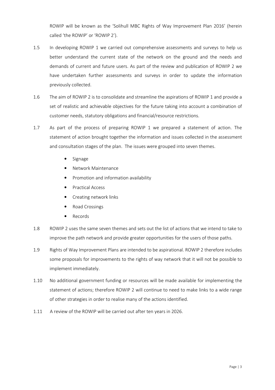ROWIP will be known as the 'Solihull MBC Rights of Way Improvement Plan 2016' (herein called 'the ROWIP' or 'ROWIP 2').

- 1.5 In developing ROWIP 1 we carried out comprehensive assessments and surveys to help us better understand the current state of the network on the ground and the needs and demands of current and future users. As part of the review and publication of ROWIP 2 we have undertaken further assessments and surveys in order to update the information previously collected.
- 1.6 The aim of ROWIP 2 is to consolidate and streamline the aspirations of ROWIP 1 and provide a set of realistic and achievable objectives for the future taking into account a combination of customer needs, statutory obligations and financial/resource restrictions.
- 1.7 As part of the process of preparing ROWIP 1 we prepared a statement of action. The statement of action brought together the information and issues collected in the assessment and consultation stages of the plan. The issues were grouped into seven themes.
	- Signage
	- Network Maintenance
	- Promotion and information availability
	- Practical Access
	- Creating network links
	- Road Crossings
	- **Records**
- 1.8 ROWIP 2 uses the same seven themes and sets out the list of actions that we intend to take to improve the path network and provide greater opportunities for the users of those paths.
- 1.9 Rights of Way Improvement Plans are intended to be aspirational. ROWIP 2 therefore includes some proposals for improvements to the rights of way network that it will not be possible to implement immediately.
- 1.10 No additional government funding or resources will be made available for implementing the statement of actions; therefore ROWIP 2 will continue to need to make links to a wide range of other strategies in order to realise many of the actions identified.
- 1.11 A review of the ROWIP will be carried out after ten years in 2026.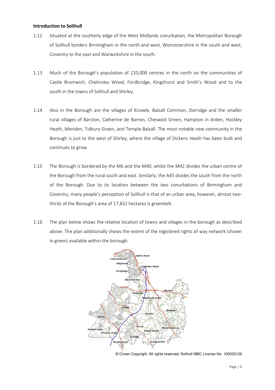#### Introduction to Solihull

- 1.12 Situated at the southerly edge of the West Midlands conurbation, the Metropolitan Borough of Solihull borders Birmingham in the north and west, Worcestershire in the south and west, Coventry to the east and Warwickshire in the south.
- 1.13 Much of the Borough's population of 210,000 centres in the north on the communities of Castle Bromwich, Chelmsley Wood, Fordbridge, Kingshurst and Smith's Wood and to the south in the towns of Solihull and Shirley.
- 1.14 Also in the Borough are the villages of Knowle, Balsall Common, Dorridge and the smaller rural villages of Barston, Catherine de Barnes, Cheswick Green, Hampton in Arden, Hockley Heath, Meriden, Tidbury Green, and Temple Balsall. The most notable new community in the Borough is just to the west of Shirley, where the village of Dickens Heath has been built and continues to grow.
- 1.15 The Borough is bordered by the M6 and the M40, whilst the M42 divides the urban centre of the Borough from the rural south and east. Similarly, the A45 divides the south from the north of the Borough. Due to its location between the two conurbations of Birmingham and Coventry, many people's perception of Solihull is that of an urban area, however, almost twothirds of the Borough's area of 17,832 hectares is greenbelt.
- 1.16 The plan below shows the relative location of towns and villages in the borough as described above. The plan additionally shows the extent of the registered rights of way network (shown in green) available within the borough.



<sup>©</sup> Crown Copyright, All rights reserved, Solihull MBC License No. 100023129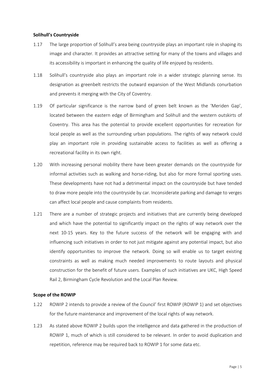#### Solihull's Countryside

- 1.17 The large proportion of Solihull's area being countryside plays an important role in shaping its image and character. It provides an attractive setting for many of the towns and villages and its accessibility is important in enhancing the quality of life enjoyed by residents.
- 1.18 Solihull's countryside also plays an important role in a wider strategic planning sense. Its designation as greenbelt restricts the outward expansion of the West Midlands conurbation and prevents it merging with the City of Coventry.
- 1.19 Of particular significance is the narrow band of green belt known as the 'Meriden Gap', located between the eastern edge of Birmingham and Solihull and the western outskirts of Coventry. This area has the potential to provide excellent opportunities for recreation for local people as well as the surrounding urban populations. The rights of way network could play an important role in providing sustainable access to facilities as well as offering a recreational facility in its own right.
- 1.20 With increasing personal mobility there have been greater demands on the countryside for informal activities such as walking and horse-riding, but also for more formal sporting uses. These developments have not had a detrimental impact on the countryside but have tended to draw more people into the countryside by car. Inconsiderate parking and damage to verges can affect local people and cause complaints from residents.
- 1.21 There are a number of strategic projects and initiatives that are currently being developed and which have the potential to significantly impact on the rights of way network over the next 10-15 years. Key to the future success of the network will be engaging with and influencing such initiatives in order to not just mitigate against any potential impact, but also identify opportunities to improve the network. Doing so will enable us to target existing constraints as well as making much needed improvements to route layouts and physical construction for the benefit of future users. Examples of such initiatives are UKC, High Speed Rail 2, Birmingham Cycle Revolution and the Local Plan Review.

### Scope of the ROWIP

- 1.22 ROWIP 2 intends to provide a review of the Council' first ROWIP (ROWIP 1) and set objectives for the future maintenance and improvement of the local rights of way network.
- 1.23 As stated above ROWIP 2 builds upon the intelligence and data gathered in the production of ROWIP 1, much of which is still considered to be relevant. In order to avoid duplication and repetition, reference may be required back to ROWIP 1 for some data etc.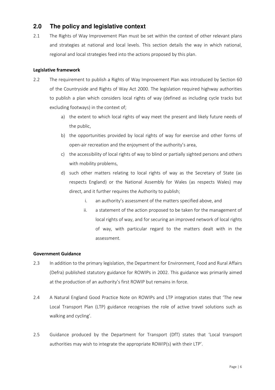### **2.0 The policy and legislative context**

2.1 The Rights of Way Improvement Plan must be set within the context of other relevant plans and strategies at national and local levels. This section details the way in which national, regional and local strategies feed into the actions proposed by this plan.

### Legislative framework

- 2.2 The requirement to publish a Rights of Way Improvement Plan was introduced by Section 60 of the Countryside and Rights of Way Act 2000. The legislation required highway authorities to publish a plan which considers local rights of way (defined as including cycle tracks but excluding footways) in the context of;
	- a) the extent to which local rights of way meet the present and likely future needs of the public,
	- b) the opportunities provided by local rights of way for exercise and other forms of open-air recreation and the enjoyment of the authority's area,
	- c) the accessibility of local rights of way to blind or partially sighted persons and others with mobility problems,
	- d) such other matters relating to local rights of way as the Secretary of State (as respects England) or the National Assembly for Wales (as respects Wales) may direct, and it further requires the Authority to publish;
		- i. an authority's assessment of the matters specified above, and
		- ii. a statement of the action proposed to be taken for the management of local rights of way, and for securing an improved network of local rights of way, with particular regard to the matters dealt with in the assessment.

### Government Guidance

- 2.3 In addition to the primary legislation, the Department for Environment, Food and Rural Affairs (Defra) published statutory guidance for ROWIPs in 2002. This guidance was primarily aimed at the production of an authority's first ROWIP but remains in force.
- 2.4 A Natural England Good Practice Note on ROWIPs and LTP integration states that 'The new Local Transport Plan (LTP) guidance recognises the role of active travel solutions such as walking and cycling'.
- 2.5 Guidance produced by the Department for Transport (DfT) states that 'Local transport authorities may wish to integrate the appropriate ROWIP(s) with their LTP'.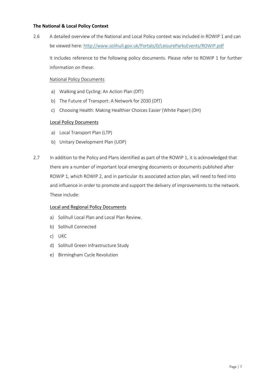### The National & Local Policy Context

2.6 A detailed overview of the National and Local Policy context was included in ROWIP 1 and can be viewed here: http://www.solihull.gov.uk/Portals/0/LeisureParksEvents/ROWIP.pdf

It includes reference to the following policy documents. Please refer to ROWIP 1 for further information on these:

#### National Policy Documents

- a) Walking and Cycling: An Action Plan (DfT)
- b) The Future of Transport: A Network for 2030 (DfT)
- c) Choosing Health: Making Healthier Choices Easier (White Paper) (DH)

#### Local Policy Documents

- a) Local Transport Plan (LTP)
- b) Unitary Development Plan (UDP)
- 2.7 In addition to the Policy and Plans identified as part of the ROWIP 1, it is acknowledged that there are a number of important local emerging documents or documents published after ROWIP 1, which ROWIP 2, and in particular its associated action plan, will need to feed into and influence in order to promote and support the delivery of improvements to the network. These include:

#### Local and Regional Policy Documents

- a) Solihull Local Plan and Local Plan Review.
- b) Solihull Connected
- c) UKC
- d) Solihull Green Infrastructure Study
- e) Birmingham Cycle Revolution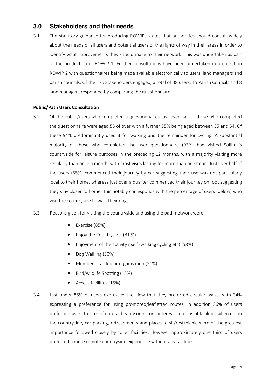### **3.0 Stakeholders and their needs**

3.1 The statutory guidance for producing ROWIPs states that authorities should consult widely about the needs of all users and potential users of the rights of way in their areas in order to identify what improvements they should make to their network. This was undertaken as part of the production of ROWIP 1. Further consultations have been undertaken in preparation ROWIP 2 with questionnaires being made available electronically to users, land managers and parish councils. Of the 176 Stakeholders engaged, a total of 38 users, 15 Parish Councils and 8 land managers responded by completing the questionnaire.

### Public/Path Users Consultation

3.2 Of the public/users who completed a questionnaires just over half of those who completed the questionnaire were aged 55 of over with a further 35% being aged between 35 and 54. Of these 94% predominantly used it for walking and the remainder for cycling. A substantial majority of those who completed the user questionnaire (93%) had visited Solihull's countryside for leisure purposes in the preceding 12 months, with a majority visiting more regularly than once a month, with most visits lasting for more than one hour. Just over half of the users (55%) commenced their journey by car suggesting their use was not particularly local to their home, whereas just over a quarter commenced their journey on foot suggesting they stay closer to home. This notably corresponds with the percentage of users (below) who visit the countryside to walk their dogs.

### 3.3 Reasons given for visiting the countryside and using the path network were:

- Exercise (85%)
- Enjoy the Countryside (81 %)
- Enjoyment of the activity itself (walking cycling etc) (58%)
- Dog Walking (30%)
- Member of a club or organisation (21%)
- Bird/wildlife Spotting (15%)
- Access facilities (15%)
- 3.4 Just under 85% of users expressed the view that they preferred circular walks, with 34% expressing a preference for using promoted/leafletted routes, in addition 56% of users preferring walks to sites of natural beauty or historic interest. In terms of facilities when out in the countryside, car parking, refreshments and places to sit/rest/picnic were of the greatest importance followed closely by toilet facilities. However approximately one third of users preferred a more remote countryside experience without any facilities.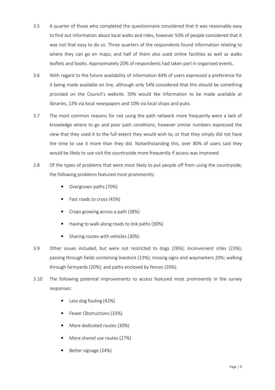- 3.5 A quarter of those who completed the questionnaire considered that it was reasonably easy to find out information about local walks and rides, however 50% of people considered that it was not that easy to do so. Three quarters of the respondents found information relating to where they can go on maps; and half of them also used online facilities as well as walks leaflets and books. Approximately 20% of respondents had taken part in organised events.
- 3.6 With regard to the future availability of information 84% of users expressed a preference for it being made available on line, although only 54% considered that this should be something provided on the Council's website. 39% would like information to be made available at libraries, 13% via local newspapers and 10% via local shops and pubs.
- 3.7 The most common reasons for not using the path network more frequently were a lack of knowledge where to go and poor path conditions, however similar numbers expressed the view that they used it to the full extent they would wish to, or that they simply did not have the time to use it more than they did. Notwithstanding this, over 80% of users said they would be likely to use visit the countryside more frequently if access was improved.
- 3.8 Of the types of problems that were most likely to put people off from using the countryside, the following problems featured most prominently:
	- Overgrown paths (70%)
	- Fast roads to cross (43%)
	- Crops growing across a path (38%)
	- Having to walk along roads to link paths (30%)
	- Sharing routes with vehicles (30%)
- 3.9 Other issues included, but were not restricted to dogs (26%); inconvenient stiles (23%); passing through fields containing livestock (23%); missing signs and waymarkers 20%; walking through farmyards (20%); and paths enclosed by fences (20%).
- 3.10 The following potential improvements to access featured most prominently in the survey responses:
	- Less dog fouling (42%)
	- Fewer Obstructions (33%)
	- More dedicated routes (30%)
	- More shared use routes (27%)
	- Better signage (24%)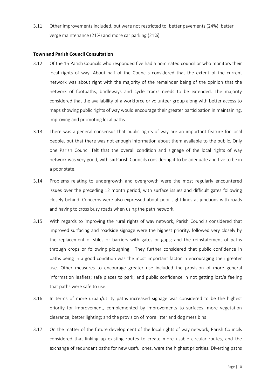3.11 Other improvements included, but were not restricted to, better pavements (24%); better verge maintenance (21%) and more car parking (21%).

#### Town and Parish Council Consultation

- 3.12 Of the 15 Parish Councils who responded five had a nominated councillor who monitors their local rights of way. About half of the Councils considered that the extent of the current network was about right with the majority of the remainder being of the opinion that the network of footpaths, bridleways and cycle tracks needs to be extended. The majority considered that the availability of a workforce or volunteer group along with better access to maps showing public rights of way would encourage their greater participation in maintaining, improving and promoting local paths.
- 3.13 There was a general consensus that public rights of way are an important feature for local people, but that there was not enough information about them available to the public. Only one Parish Council felt that the overall condition and signage of the local rights of way network was very good, with six Parish Councils considering it to be adequate and five to be in a poor state.
- 3.14 Problems relating to undergrowth and overgrowth were the most regularly encountered issues over the preceding 12 month period, with surface issues and difficult gates following closely behind. Concerns were also expressed about poor sight lines at junctions with roads and having to cross busy roads when using the path network.
- 3.15 With regards to improving the rural rights of way network, Parish Councils considered that improved surfacing and roadside signage were the highest priority, followed very closely by the replacement of stiles or barriers with gates or gaps; and the reinstatement of paths through crops or following ploughing. They further considered that public confidence in paths being in a good condition was the most important factor in encouraging their greater use. Other measures to encourage greater use included the provision of more general information leaflets; safe places to park; and public confidence in not getting lost/a feeling that paths were safe to use.
- 3.16 In terms of more urban/utility paths increased signage was considered to be the highest priority for improvement, complemented by improvements to surfaces; more vegetation clearance; better lighting; and the provision of more litter and dog mess bins
- 3.17 On the matter of the future development of the local rights of way network, Parish Councils considered that linking up existing routes to create more usable circular routes, and the exchange of redundant paths for new useful ones, were the highest priorities. Diverting paths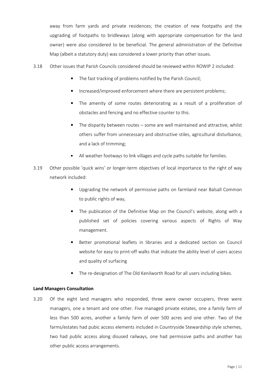away from farm yards and private residences; the creation of new footpaths and the upgrading of footpaths to bridleways (along with appropriate compensation for the land owner) were also considered to be beneficial. The general administration of the Definitive Map (albeit a statutory duty) was considered a lower priority than other issues.

- 3.18 Other issues that Parish Councils considered should be reviewed within ROWIP 2 included:
	- The fast tracking of problems notified by the Parish Council;
	- Increased/improved enforcement where there are persistent problems;
	- The amenity of some routes deteriorating as a result of a proliferation of obstacles and fencing and no effective counter to this.
	- The disparity between routes some are well maintained and attractive, whilst others suffer from unnecessary and obstructive stiles, agricultural disturbance, and a lack of trimming;
	- All weather footways to link villages and cycle paths suitable for families.
- 3.19 Other possible 'quick wins' or longer-term objectives of local importance to the right of way network included:
	- Upgrading the network of permissive paths on farmland near Balsall Common to public rights of way,
	- The publication of the Definitive Map on the Council's website, along with a published set of policies covering various aspects of Rights of Way management.
	- Better promotional leaflets in libraries and a dedicated section on Council website for easy to print-off walks that indicate the ability level of users access and quality of surfacing
	- The re-designation of The Old Kenilworth Road for all users including bikes.

### Land Managers Consultation

3.20 Of the eight land managers who responded, three were owner occupiers, three were managers, one a tenant and one other. Five managed private estates, one a family farm of less than 500 acres, another a family farm of over 500 acres and one other. Two of the farms/estates had pubic access elements included in Countryside Stewardship style schemes, two had public access along disused railways, one had permissive paths and another has other public access arrangements.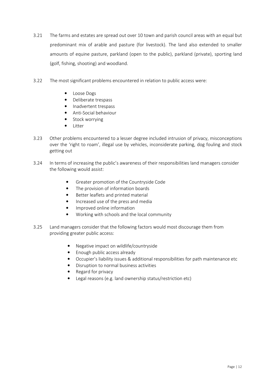- 3.21 The farms and estates are spread out over 10 town and parish council areas with an equal but predominant mix of arable and pasture (for livestock). The land also extended to smaller amounts of equine pasture, parkland (open to the public), parkland (private), sporting land (golf, fishing, shooting) and woodland.
- 3.22 The most significant problems encountered in relation to public access were:
	- Loose Dogs
	- Deliberate trespass
	- Inadvertent trespass
	- Anti-Social behaviour
	- Stock worrying
	- Litter
- 3.23 Other problems encountered to a lesser degree included intrusion of privacy, misconceptions over the 'right to roam', illegal use by vehicles, inconsiderate parking, dog fouling and stock getting out
- 3.24 In terms of increasing the public's awareness of their responsibilities land managers consider the following would assist:
	- Greater promotion of the Countryside Code
	- The provision of information boards
	- Better leaflets and printed material
	- Increased use of the press and media
	- Improved online information
	- Working with schools and the local community
- 3.25 Land managers consider that the following factors would most discourage them from providing greater public access:
	- Negative impact on wildlife/countryside
	- Enough public access already
	- Occupier's liability issues & additional responsibilities for path maintenance etc
	- Disruption to normal business activities
	- Regard for privacy
	- Legal reasons (e.g. land ownership status/restriction etc)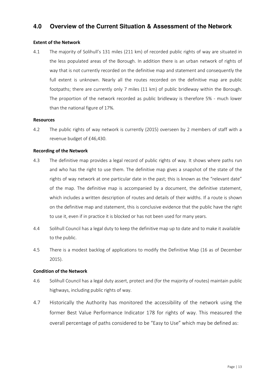### **4.0 Overview of the Current Situation & Assessment of the Network**

### Extent of the Network

4.1 The majority of Solihull's 131 miles (211 km) of recorded public rights of way are situated in the less populated areas of the Borough. In addition there is an urban network of rights of way that is not currently recorded on the definitive map and statement and consequently the full extent is unknown. Nearly all the routes recorded on the definitive map are public footpaths; there are currently only 7 miles (11 km) of public bridleway within the Borough. The proportion of the network recorded as public bridleway is therefore 5% - much lower than the national figure of 17%.

#### Resources

4.2 The public rights of way network is currently (2015) overseen by 2 members of staff with a revenue budget of £46,430.

### Recording of the Network

- 4.3 The definitive map provides a legal record of public rights of way. It shows where paths run and who has the right to use them. The definitive map gives a snapshot of the state of the rights of way network at one particular date in the past; this is known as the "relevant date" of the map. The definitive map is accompanied by a document, the definitive statement, which includes a written description of routes and details of their widths. If a route is shown on the definitive map and statement, this is conclusive evidence that the public have the right to use it, even if in practice it is blocked or has not been used for many years.
- 4.4 Solihull Council has a legal duty to keep the definitive map up to date and to make it available to the public.
- 4.5 There is a modest backlog of applications to modify the Definitive Map (16 as of December 2015).

### Condition of the Network

- 4.6 Solihull Council has a legal duty assert, protect and (for the majority of routes) maintain public highways, including public rights of way.
- 4.7 Historically the Authority has monitored the accessibility of the network using the former Best Value Performance Indicator 178 for rights of way. This measured the overall percentage of paths considered to be "Easy to Use" which may be defined as: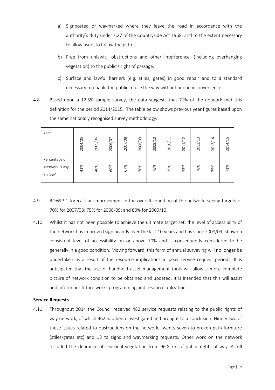- a) Signposted or waymarked where they leave the road in accordance with the authority's duty under s.27 of the Countryside Act 1968, and to the extent necessary to allow users to follow the path.
- b) Free from unlawful obstructions and other interference, (including overhanging vegetation) to the public's right of passage.
- c) Surface and lawful barriers (e.g. stiles, gates) in good repair and to a standard necessary to enable the public to use the way without undue inconvenience.
- 4.8 Based upon a 12.5% sample survey, the data suggests that 71% of the network met this definition for the period 2014/2015. The table below shows previous year figures based upon the same nationally recognised survey methodology.

| Year                                      | 2004/05 | 2005/06 | 2006/07 | 2007/08 | 2008/09 | 2009/10 | 2010/11 | 2011/12 | 2012/13 | 2013/14 | 2014/15 |
|-------------------------------------------|---------|---------|---------|---------|---------|---------|---------|---------|---------|---------|---------|
| Percentage of<br>Network "Easy<br>to Use" | 41%     | 48%     | 60%     | 67%     | 70%     | 75%     | 75%     | 73%     | 78%     | 75%     | 71%     |

- 4.9 ROWIP 1 forecast an improvement in the overall condition of the network, seeing targets of 70% for 2007/08; 75% for 2008/09; and 80% for 2009/10.
- 4.10 Whilst it has not been possible to achieve the ultimate target set, the level of accessibility of the network has improved significantly over the last 10 years and has since 2008/09, shown a consistent level of accessibility on or above 70% and is consequently considered to be generally in a good condition. Moving forward, this form of annual surveying will no longer be undertaken as a result of the resource implications in peak service request periods. It is anticipated that the use of handheld asset management tools will allow a more complete picture of network condition to be obtained and updated. It is intended that this will assist and inform our future works programming and resource utilization

### Service Requests

4.11 Throughout 2014 the Council received 482 service requests relating to the public rights of way network, of which 462 had been investigated and brought to a conclusion. Ninety two of these issues related to obstructions on the network, twenty seven to broken path furniture (stiles/gates etc) and 13 to signs and waymarking requests. Other work on the network included the clearance of seasonal vegetation from 96.8 km of public rights of way. A full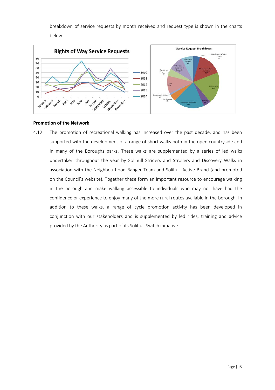breakdown of service requests by month received and request type is shown in the charts below.



### Promotion of the Network

4.12 The promotion of recreational walking has increased over the past decade, and has been supported with the development of a range of short walks both in the open countryside and in many of the Boroughs parks. These walks are supplemented by a series of led walks undertaken throughout the year by Solihull Striders and Strollers and Discovery Walks in association with the Neighbourhood Ranger Team and Solihull Active Brand (and promoted on the Council's website). Together these form an important resource to encourage walking in the borough and make walking accessible to individuals who may not have had the confidence or experience to enjoy many of the more rural routes available in the borough. In addition to these walks, a range of cycle promotion activity has been developed in conjunction with our stakeholders and is supplemented by led rides, training and advice provided by the Authority as part of its Solihull Switch initiative.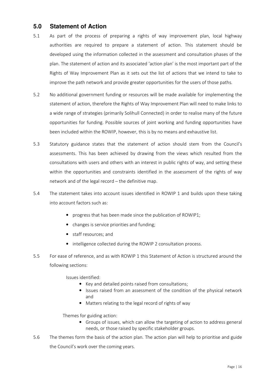### **5.0 Statement of Action**

- 5.1 As part of the process of preparing a rights of way improvement plan, local highway authorities are required to prepare a statement of action. This statement should be developed using the information collected in the assessment and consultation phases of the plan. The statement of action and its associated 'action plan' is the most important part of the Rights of Way Improvement Plan as it sets out the list of actions that we intend to take to improve the path network and provide greater opportunities for the users of those paths.
- 5.2 No additional government funding or resources will be made available for implementing the statement of action, therefore the Rights of Way Improvement Plan will need to make links to a wide range of strategies (primarily Solihull Connected) in order to realise many of the future opportunities for funding. Possible sources of joint working and funding opportunities have been included within the ROWIP, however, this is by no means and exhaustive list.
- 5.3 Statutory guidance states that the statement of action should stem from the Council's assessments. This has been achieved by drawing from the views which resulted from the consultations with users and others with an interest in public rights of way, and setting these within the opportunities and constraints identified in the assessment of the rights of way network and of the legal record – the definitive map.
- 5.4 The statement takes into account issues identified in ROWIP 1 and builds upon these taking into account factors such as:
	- progress that has been made since the publication of ROWIP1;
	- changes is service priorities and funding;
	- staff resources; and
	- intelligence collected during the ROWIP 2 consultation process.
- 5.5 For ease of reference, and as with ROWIP 1 this Statement of Action is structured around the following sections:

Issues identified:

- Key and detailed points raised from consultations;
- Issues raised from an assessment of the condition of the physical network and
- Matters relating to the legal record of rights of way

Themes for guiding action:

- Groups of issues, which can allow the targeting of action to address general needs, or those raised by specific stakeholder groups.
- 5.6 The themes form the basis of the action plan. The action plan will help to prioritise and guide the Council's work over the coming years.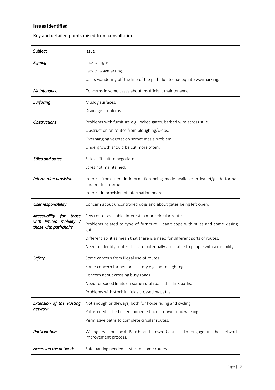### Issues identified

Key and detailed points raised from consultations:

| Subject                                          | Issue                                                                                                   |
|--------------------------------------------------|---------------------------------------------------------------------------------------------------------|
| Signing                                          | Lack of signs.                                                                                          |
|                                                  | Lack of waymarking.                                                                                     |
|                                                  | Users wandering off the line of the path due to inadequate waymarking.                                  |
| Maintenance                                      | Concerns in some cases about insufficient maintenance.                                                  |
| Surfacing                                        | Muddy surfaces.                                                                                         |
|                                                  | Drainage problems.                                                                                      |
| <b>Obstructions</b>                              | Problems with furniture e.g. locked gates, barbed wire across stile.                                    |
|                                                  | Obstruction on routes from ploughing/crops.                                                             |
|                                                  | Overhanging vegetation sometimes a problem.                                                             |
|                                                  | Undergrowth should be cut more often.                                                                   |
| <b>Stiles and gates</b>                          | Stiles difficult to negotiate                                                                           |
|                                                  | Stiles not maintained.                                                                                  |
| Information provision                            | Interest from users in information being made available in leaflet/guide format<br>and on the internet. |
|                                                  | Interest in provision of information boards.                                                            |
| User responsibility                              | Concern about uncontrolled dogs and about gates being left open.                                        |
| Accessibility<br>those<br>for                    | Few routes available. Interest in more circular routes.                                                 |
| with limited mobility /<br>those with pushchairs | Problems related to type of furniture $-$ can't cope with stiles and some kissing<br>gates.             |
|                                                  | Different abilities mean that there is a need for different sorts of routes.                            |
|                                                  | Need to identify routes that are potentially accessible to people with a disability.                    |
| <b>Safety</b>                                    | Some concern from illegal use of routes.                                                                |
|                                                  | Some concern for personal safety e.g. lack of lighting.                                                 |
|                                                  | Concern about crossing busy roads.                                                                      |
|                                                  | Need for speed limits on some rural roads that link paths.                                              |
|                                                  | Problems with stock in fields crossed by paths.                                                         |
| Extension of the existing                        | Not enough bridleways, both for horse riding and cycling.                                               |
| network                                          | Paths need to be better connected to cut down road walking.                                             |
|                                                  | Permissive paths to complete circular routes.                                                           |
| Participation                                    | Willingness for local Parish and Town Councils to engage in the network<br>improvement process.         |
| Accessing the network                            | Safe parking needed at start of some routes.                                                            |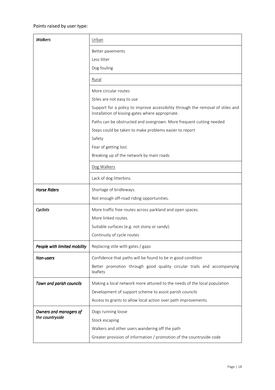### Points raised by user type:

| <b>Walkers</b>               | <u>Urban</u>                                                                                                  |  |  |  |  |  |
|------------------------------|---------------------------------------------------------------------------------------------------------------|--|--|--|--|--|
|                              | Better pavements<br>Less litter                                                                               |  |  |  |  |  |
|                              | Dog fouling                                                                                                   |  |  |  |  |  |
|                              | Rural                                                                                                         |  |  |  |  |  |
|                              | More circular routes                                                                                          |  |  |  |  |  |
|                              | Stiles are not easy to use<br>Support for a policy to improve accessibility through the removal of stiles and |  |  |  |  |  |
|                              | installation of kissing-gates where appropriate.                                                              |  |  |  |  |  |
|                              | Paths can be obstructed and overgrown. More frequent cutting needed                                           |  |  |  |  |  |
|                              | Steps could be taken to make problems easier to report<br>Safety                                              |  |  |  |  |  |
|                              | Fear of getting lost.                                                                                         |  |  |  |  |  |
|                              | Breaking up of the network by main roads                                                                      |  |  |  |  |  |
|                              | Dog Walkers                                                                                                   |  |  |  |  |  |
|                              | Lack of dog litterbins.                                                                                       |  |  |  |  |  |
| <b>Horse Riders</b>          | Shortage of bridleways.                                                                                       |  |  |  |  |  |
|                              | Not enough off-road riding opportunities.                                                                     |  |  |  |  |  |
| Cyclists                     | More traffic free routes across parkland and open spaces.                                                     |  |  |  |  |  |
|                              | More linked routes.                                                                                           |  |  |  |  |  |
|                              | Suitable surfaces (e.g. not stony or sandy).                                                                  |  |  |  |  |  |
|                              | Continuity of cycle routes                                                                                    |  |  |  |  |  |
| People with limited mobility | Replacing stile with gates / gaps                                                                             |  |  |  |  |  |
| <b>Non-users</b>             | Confidence that paths will be found to be in good condition                                                   |  |  |  |  |  |
|                              | Better promotion through good quality circular trails and accompanying<br>leaflets                            |  |  |  |  |  |
| Town and parish councils     | Making a local network more attuned to the needs of the local population                                      |  |  |  |  |  |
|                              | Development of support scheme to assist parish councils                                                       |  |  |  |  |  |
|                              | Access to grants to allow local action over path improvements                                                 |  |  |  |  |  |
| Owners and managers of       | Dogs running loose                                                                                            |  |  |  |  |  |
| the countryside              | Stock escaping                                                                                                |  |  |  |  |  |
|                              | Walkers and other users wandering off the path                                                                |  |  |  |  |  |
|                              | Greater provision of information / promotion of the countryside code                                          |  |  |  |  |  |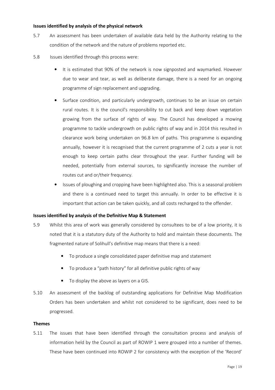#### Issues identified by analysis of the physical network

- 5.7 An assessment has been undertaken of available data held by the Authority relating to the condition of the network and the nature of problems reported etc.
- 5.8 Issues identified through this process were:
	- It is estimated that 90% of the network is now signposted and waymarked. However due to wear and tear, as well as deliberate damage, there is a need for an ongoing programme of sign replacement and upgrading.
	- Surface condition, and particularly undergrowth, continues to be an issue on certain rural routes. It is the council's responsibility to cut back and keep down vegetation growing from the surface of rights of way. The Council has developed a mowing programme to tackle undergrowth on public rights of way and in 2014 this resulted in clearance work being undertaken on 96.8 km of paths. This programme is expanding annually, however it is recognised that the current programme of 2 cuts a year is not enough to keep certain paths clear throughout the year. Further funding will be needed, potentially from external sources, to significantly increase the number of routes cut and or/their frequency.
	- Issues of ploughing and cropping have been highlighted also. This is a seasonal problem and there is a continued need to target this annually. In order to be effective it is important that action can be taken quickly, and all costs recharged to the offender.

### Issues identified by analysis of the Definitive Map & Statement

- 5.9 Whilst this area of work was generally considered by consultees to be of a low priority, it is noted that it is a statutory duty of the Authority to hold and maintain these documents. The fragmented nature of Solihull's definitive map means that there is a need:
	- To produce a single consolidated paper definitive map and statement
	- To produce a "path history" for all definitive public rights of way
	- To display the above as layers on a GIS.
- 5.10 An assessment of the backlog of outstanding applications for Definitive Map Modification Orders has been undertaken and whilst not considered to be significant, does need to be progressed.

#### Themes

5.11 The issues that have been identified through the consultation process and analysis of information held by the Council as part of ROWIP 1 were grouped into a number of themes. These have been continued into ROWIP 2 for consistency with the exception of the 'Record'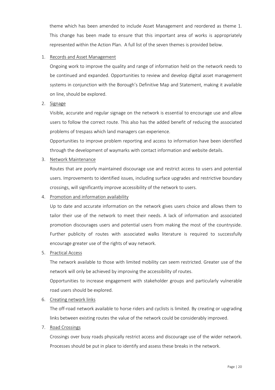theme which has been amended to include Asset Management and reordered as theme 1. This change has been made to ensure that this important area of works is appropriately represented within the Action Plan. A full list of the seven themes is provided below.

### 1. Records and Asset Management

Ongoing work to improve the quality and range of information held on the network needs to be continued and expanded. Opportunities to review and develop digital asset management systems in conjunction with the Borough's Definitive Map and Statement, making it available on line, should be explored.

2. Signage

Visible, accurate and regular signage on the network is essential to encourage use and allow users to follow the correct route. This also has the added benefit of reducing the associated problems of trespass which land managers can experience.

Opportunities to improve problem reporting and access to information have been identified through the development of waymarks with contact information and website details.

3. Network Maintenance

Routes that are poorly maintained discourage use and restrict access to users and potential users. Improvements to identified issues, including surface upgrades and restrictive boundary crossings, will significantly improve accessibility of the network to users.

4. Promotion and information availability

Up to date and accurate information on the network gives users choice and allows them to tailor their use of the network to meet their needs. A lack of information and associated promotion discourages users and potential users from making the most of the countryside. Further publicity of routes with associated walks literature is required to successfully encourage greater use of the rights of way network.

5. Practical Access

The network available to those with limited mobility can seem restricted. Greater use of the network will only be achieved by improving the accessibility of routes.

Opportunities to increase engagement with stakeholder groups and particularly vulnerable road users should be explored.

6. Creating network links

The off-road network available to horse riders and cyclists is limited. By creating or upgrading links between existing routes the value of the network could be considerably improved.

7. Road Crossings

Crossings over busy roads physically restrict access and discourage use of the wider network. Processes should be put in place to identify and assess these breaks in the network.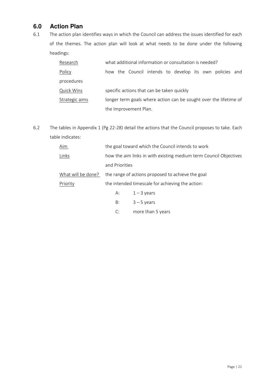## **6.0 Action Plan**

6.1 The action plan identifies ways in which the Council can address the issues identified for each of the themes. The action plan will look at what needs to be done under the following headings:

| Research          | what additional information or consultation is needed?            |  |  |  |
|-------------------|-------------------------------------------------------------------|--|--|--|
| Policy            | how the Council intends to develop its own policies and           |  |  |  |
| procedures        |                                                                   |  |  |  |
| <b>Quick Wins</b> | specific actions that can be taken quickly                        |  |  |  |
| Strategic aims    | longer term goals where action can be sought over the lifetime of |  |  |  |
|                   | the Improvement Plan.                                             |  |  |  |

6.2 The tables in Appendix 1 (Pg 22-28) detail the actions that the Council proposes to take. Each table indicates:

| Aim                | the goal toward which the Council intends to work                 |                                                   |  |  |  |  |
|--------------------|-------------------------------------------------------------------|---------------------------------------------------|--|--|--|--|
| Links              | how the aim links in with existing medium term Council Objectives |                                                   |  |  |  |  |
|                    | and Priorities                                                    |                                                   |  |  |  |  |
| What will be done? |                                                                   | the range of actions proposed to achieve the goal |  |  |  |  |
| Priority           |                                                                   | the intended timescale for achieving the action:  |  |  |  |  |
|                    | А:                                                                | $1 - 3$ years                                     |  |  |  |  |
|                    | B:                                                                | $3 - 5$ years                                     |  |  |  |  |
|                    | C:                                                                | more than 5 years                                 |  |  |  |  |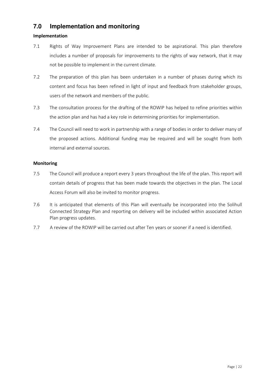### **7.0 Implementation and monitoring**

### Implementation

- 7.1 Rights of Way Improvement Plans are intended to be aspirational. This plan therefore includes a number of proposals for improvements to the rights of way network, that it may not be possible to implement in the current climate.
- 7.2 The preparation of this plan has been undertaken in a number of phases during which its content and focus has been refined in light of input and feedback from stakeholder groups, users of the network and members of the public.
- 7.3 The consultation process for the drafting of the ROWIP has helped to refine priorities within the action plan and has had a key role in determining priorities for implementation.
- 7.4 The Council will need to work in partnership with a range of bodies in order to deliver many of the proposed actions. Additional funding may be required and will be sought from both internal and external sources.

### **Monitoring**

- 7.5 The Council will produce a report every 3 years throughout the life of the plan. This report will contain details of progress that has been made towards the objectives in the plan. The Local Access Forum will also be invited to monitor progress.
- 7.6 It is anticipated that elements of this Plan will eventually be incorporated into the Solihull Connected Strategy Plan and reporting on delivery will be included within associated Action Plan progress updates.
- 7.7 A review of the ROWIP will be carried out after Ten years or sooner if a need is identified.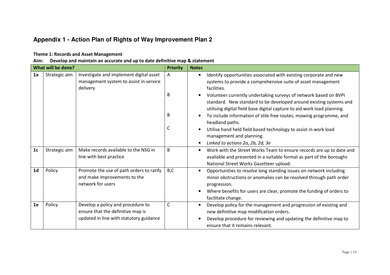# **Appendix 1 - Action Plan of Rights of Way Improvement Plan 2**

#### Theme 1: Records and Asset Management

Aim: Develop and maintain an accurate and up to date definitive map & statement

|                | What will be done? |                                                                                                                   |                  | <b>Notes</b>                                                                                                                                                                                                                                                                                                                                                                                                                                                                                                                                                                                                                                                       |
|----------------|--------------------|-------------------------------------------------------------------------------------------------------------------|------------------|--------------------------------------------------------------------------------------------------------------------------------------------------------------------------------------------------------------------------------------------------------------------------------------------------------------------------------------------------------------------------------------------------------------------------------------------------------------------------------------------------------------------------------------------------------------------------------------------------------------------------------------------------------------------|
| 1a             | Strategic aim      | Investigate and implement digital asset<br>management system to assist in service<br>delivery                     | Α<br>B<br>B<br>C | Identify opportunities associated with existing corporate and new<br>$\bullet$<br>systems to provide a comprehensive suite of asset management<br>facilities.<br>Volunteer currently undertaking surveys of network based on BVPI<br>$\bullet$<br>standard. New standard to be developed around existing systems and<br>utilising digital field base digital capture to aid work load planning.<br>To include information of stile free routes, mowing programme, and<br>$\bullet$<br>headland paths.<br>Utilise hand held field based technology to assist in work load<br>$\bullet$<br>management and planning.<br>Linked to actions 2a, 2b, 2d, 3e<br>$\bullet$ |
| 1 <sub>c</sub> | Strategic aim      | Make records available to the NSG in<br>line with best practice                                                   | B                | Work with the Street Works Team to ensure records are up to date and<br>$\bullet$<br>available and presented in a suitable format as part of the boroughs<br>National Street Works Gazetteer upload.                                                                                                                                                                                                                                                                                                                                                                                                                                                               |
| 1 <sub>d</sub> | Policy             | Promote the use of path orders to ratify<br>and make improvements to the<br>network for users                     | B,C              | Opportunities to resolve long standing issues on network including<br>$\bullet$<br>minor obstructions or anomalies can be resolved through path order<br>progression.<br>Where benefits for users are clear, promote the funding of orders to<br>facilitate change.                                                                                                                                                                                                                                                                                                                                                                                                |
| 1e             | Policy             | Develop a policy and procedure to<br>ensure that the definitive map is<br>updated in line with statutory guidance | C                | Develop policy for the management and progression of existing and<br>$\bullet$<br>new definitive map modification orders.<br>Develop procedure for reviewing and updating the definitive map to<br>٠<br>ensure that it remains relevant.                                                                                                                                                                                                                                                                                                                                                                                                                           |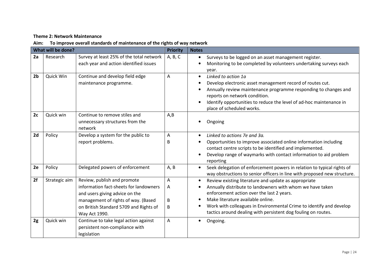### Theme 2: Network Maintenance

### Aim: To improve overall standards of maintenance of the rights of way network

|                | What will be done? |                                                                                                                                                                                                           | <b>Priority</b>  | <b>Notes</b>                                                                                                                                                                                                                                                                                                                                                                       |
|----------------|--------------------|-----------------------------------------------------------------------------------------------------------------------------------------------------------------------------------------------------------|------------------|------------------------------------------------------------------------------------------------------------------------------------------------------------------------------------------------------------------------------------------------------------------------------------------------------------------------------------------------------------------------------------|
| 2a             | Research           | Survey at least 25% of the total network<br>each year and action identified issues                                                                                                                        | A, B, C          | Surveys to be logged on an asset management register.<br>$\bullet$<br>Monitoring to be completed by volunteers undertaking surveys each<br>$\bullet$<br>year.                                                                                                                                                                                                                      |
| 2 <sub>b</sub> | Quick Win          | Continue and develop field edge<br>maintenance programme.                                                                                                                                                 | Α                | Linked to action 1a<br>$\bullet$<br>Develop electronic asset management record of routes cut.<br>$\bullet$<br>Annually review maintenance programme responding to changes and<br>reports on network condition.<br>Identify opportunities to reduce the level of ad-hoc maintenance in<br>$\bullet$<br>place of scheduled works.                                                    |
| 2c             | Quick win          | Continue to remove stiles and<br>unnecessary structures from the<br>network                                                                                                                               | A, B             | Ongoing                                                                                                                                                                                                                                                                                                                                                                            |
| 2d             | Policy             | Develop a system for the public to<br>report problems.                                                                                                                                                    | A<br>B           | Linked to actions 7e and 3a.<br>$\bullet$<br>Opportunities to improve associated online information including<br>$\bullet$<br>contact centre scripts to be identified and implemented.<br>Develop range of waymarks with contact information to aid problem<br>$\bullet$<br>reporting                                                                                              |
| 2e             | Policy             | Delegated powers of enforcement                                                                                                                                                                           | A, B             | Seek delegation of enforcement powers in relation to typical rights of<br>$\bullet$<br>way obstructions to senior officers in line with proposed new structure.                                                                                                                                                                                                                    |
| 2f             | Strategic aim      | Review, publish and promote<br>information fact-sheets for landowners<br>and users giving advice on the<br>management of rights of way. (Based<br>on British Standard 5709 and Rights of<br>Way Act 1990. | A<br>Α<br>B<br>B | Review existing literature and update as appropriate<br>$\bullet$<br>Annually distribute to landowners with whom we have taken<br>enforcement action over the last 2 years.<br>Make literature available online.<br>$\bullet$<br>Work with colleagues in Environmental Crime to identify and develop<br>$\bullet$<br>tactics around dealing with persistent dog fouling on routes. |
| 2g             | Quick win          | Continue to take legal action against<br>persistent non-compliance with<br>legislation                                                                                                                    | A                | Ongoing.<br>$\bullet$                                                                                                                                                                                                                                                                                                                                                              |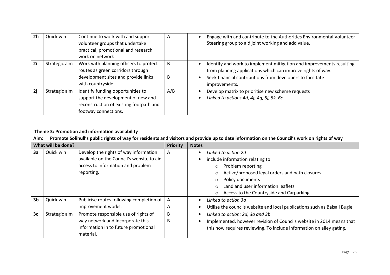| 2 <sub>h</sub> | Quick win     | Continue to work with and support<br>volunteer groups that undertake<br>practical, promotional and research<br>work on network             | A      | Engage with and contribute to the Authorities Environmental Volunteer<br>$\bullet$<br>Steering group to aid joint working and add value.                                                                                                     |
|----------------|---------------|--------------------------------------------------------------------------------------------------------------------------------------------|--------|----------------------------------------------------------------------------------------------------------------------------------------------------------------------------------------------------------------------------------------------|
| 2i             | Strategic aim | Work with planning officers to protect<br>routes as green corridors through<br>development sites and provide links<br>with countryside.    | B<br>B | Identify and work to implement mitigation and improvements resulting<br>$\bullet$<br>from planning applications which can improve rights of way.<br>Seek financial contributions from developers to facilitate<br>$\bullet$<br>improvements. |
| 2j             | Strategic aim | Identify funding opportunities to<br>support the development of new and<br>reconstruction of existing footpath and<br>footway connections. | A/B    | Develop matrix to prioritise new scheme requests<br>Linked to actions 4d, 4f, 4g, 5j, 5k, 6c                                                                                                                                                 |

### Theme 3: Promotion and information availability

### Aim: Promote Solihull's public rights of way for residents and visitors and provide up to date information on the Council's work on rights of way

|                | What will be done? |                                           |   | <b>Notes</b>                                                               |
|----------------|--------------------|-------------------------------------------|---|----------------------------------------------------------------------------|
| 3a             | Quick win          | Develop the rights of way information     | A | Linked to action 2d                                                        |
|                |                    | available on the Council's website to aid |   | include information relating to:                                           |
|                |                    | access to information and problem         |   | Problem reporting<br>$\circ$                                               |
|                |                    | reporting.                                |   | Active/proposed legal orders and path closures                             |
|                |                    |                                           |   | Policy documents                                                           |
|                |                    |                                           |   | Land and user information leaflets                                         |
|                |                    |                                           |   | Access to the Countryside and Carparking<br>$\circ$                        |
| 3 <sub>b</sub> | Quick win          | Publicise routes following completion of  | A | Linked to action 3a                                                        |
|                |                    | improvement works.                        | A | Utilise the councils website and local publications such as Balsall Bugle. |
| 3 <sub>c</sub> | Strategic aim      | Promote responsible use of rights of      | B | Linked to action: 2d, 3a and 3b                                            |
|                |                    | way network and Incorporate this          | B | Implemented, however revision of Councils website in 2014 means that       |
|                |                    | information in to future promotional      |   | this now requires reviewing. To include information on alley gating.       |
|                |                    | material.                                 |   |                                                                            |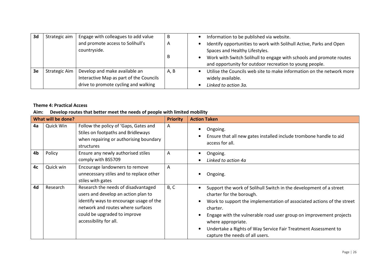| 3d | Strategic aim | Engage with colleagues to add value                                                                              | B              | Information to be published via website.                                                                                                                                                                                                |
|----|---------------|------------------------------------------------------------------------------------------------------------------|----------------|-----------------------------------------------------------------------------------------------------------------------------------------------------------------------------------------------------------------------------------------|
|    |               | and promote access to Solihull's<br>countryside.                                                                 | $\overline{A}$ | Identify opportunities to work with Solihull Active, Parks and Open<br>Spaces and Healthy Lifestyles.<br>Work with Switch Solihull to engage with schools and promote routes<br>and opportunity for outdoor recreation to young people. |
| 3e | Strategic Aim | Develop and make available an<br>Interactive Map as part of the Councils<br>drive to promote cycling and walking | A, B           | Utilise the Councils web site to make information on the network more<br>widely available.<br>Linked to action 3a.                                                                                                                      |

### Theme 4: Practical Access

### Aim: Develop routes that better meet the needs of people with limited mobility

|    | What will be done? |                                                                                                                                                                                                                      | <b>Priority</b> | <b>Action Taken</b>                                                                                                                                                                                                                                                                                                                                                                                                                       |
|----|--------------------|----------------------------------------------------------------------------------------------------------------------------------------------------------------------------------------------------------------------|-----------------|-------------------------------------------------------------------------------------------------------------------------------------------------------------------------------------------------------------------------------------------------------------------------------------------------------------------------------------------------------------------------------------------------------------------------------------------|
| 4a | Quick Win          | Follow the policy of 'Gaps, Gates and<br>Stiles on footpaths and Bridleways<br>when repairing or authorising boundary<br>structures                                                                                  | A               | Ongoing.<br>Ensure that all new gates installed include trombone handle to aid<br>$\bullet$<br>access for all.                                                                                                                                                                                                                                                                                                                            |
| 4b | Policy             | Ensure any newly authorised stiles<br>comply with BS5709                                                                                                                                                             | A               | Ongoing.<br>Linked to action 4a                                                                                                                                                                                                                                                                                                                                                                                                           |
| 4c | Quick win          | Encourage landowners to remove<br>unnecessary stiles and to replace other<br>stiles with gates                                                                                                                       | A               | Ongoing.                                                                                                                                                                                                                                                                                                                                                                                                                                  |
| 4d | Research           | Research the needs of disadvantaged<br>users and develop an action plan to<br>identify ways to encourage usage of the<br>network and routes where surfaces<br>could be upgraded to improve<br>accessibility for all. | B, C            | Support the work of Solihull Switch in the development of a street<br>$\bullet$<br>charter for the borough.<br>Work to support the implementation of associated actions of the street<br>$\bullet$<br>charter.<br>Engage with the vulnerable road user group on improvement projects<br>$\bullet$<br>where appropriate.<br>Undertake a Rights of Way Service Fair Treatment Assessment to<br>$\bullet$<br>capture the needs of all users. |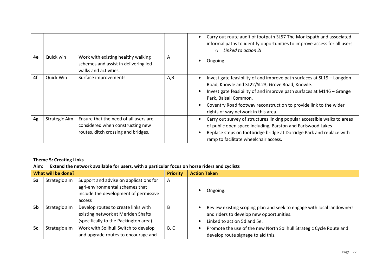|    |                      |                                                                                                                  |     | Carry out route audit of footpath SL57 The Monkspath and associated<br>$\bullet$<br>informal paths to identify opportunities to improve access for all users.<br>Linked to action 2i<br>$\circ$                                                                                                                                                      |
|----|----------------------|------------------------------------------------------------------------------------------------------------------|-----|------------------------------------------------------------------------------------------------------------------------------------------------------------------------------------------------------------------------------------------------------------------------------------------------------------------------------------------------------|
| 4e | Quick win            | Work with existing healthy walking<br>schemes and assist in delivering led<br>walks and activities.              | A   | Ongoing.                                                                                                                                                                                                                                                                                                                                             |
| 4f | Quick Win            | Surface improvements                                                                                             | A,B | Investigate feasibility of and improve path surfaces at SL19 - Longdon<br>Road, Knowle and SL22/SL23, Grove Road, Knowle.<br>Investigate feasibility of and improve path surfaces at M146 - Grange<br>Park, Balsall Common.<br>Coventry Road footway reconstruction to provide link to the wider<br>$\bullet$<br>rights of way network in this area. |
| 4g | <b>Strategic Aim</b> | Ensure that the need of all users are<br>considered when constructing new<br>routes, ditch crossing and bridges. |     | Carry out survey of structures linking popular accessible walks to areas<br>٠<br>of public open space including, Barston and Earlswood Lakes<br>Replace steps on footbridge bridge at Dorridge Park and replace with<br>ramp to facilitate wheelchair access.                                                                                        |

### Theme 5: Creating Links

### Aim: Extend the network available for users, with a particular focus on horse riders and cyclists

| What will be done? |               |                                                                                                                              | <b>Priority</b> | <b>Action Taken</b>                                                                                                                              |
|--------------------|---------------|------------------------------------------------------------------------------------------------------------------------------|-----------------|--------------------------------------------------------------------------------------------------------------------------------------------------|
| 5a                 | Strategic aim | Support and advise on applications for<br>agri-environmental schemes that<br>include the development of permissive<br>access | A               | Ongoing.                                                                                                                                         |
| 5b                 | Strategic aim | Develop routes to create links with<br>existing network at Meriden Shafts<br>(specifically to the Packington area).          | <sub>B</sub>    | Review existing scoping plan and seek to engage with local landowners<br>and riders to develop new opportunities.<br>Linked to action 5d and 5e. |
| 5c                 | Strategic aim | Work with Solihull Switch to develop<br>and upgrade routes to encourage and                                                  | B, C            | Promote the use of the new North Solihull Strategic Cycle Route and<br>develop route signage to aid this.                                        |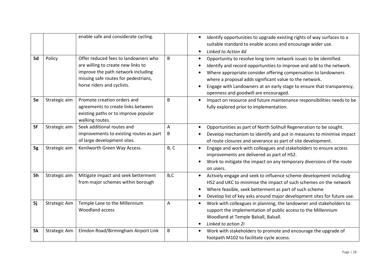|    |                      | enable safe and considerate cycling.                                                                                                                                                   |              | Identify opportunities to upgrade existing rights of way surfaces to a<br>$\bullet$<br>suitable standard to enable access and encourage wider use.<br>Linked to Action 4d<br>$\bullet$                                                                                                                                                                                                                                          |
|----|----------------------|----------------------------------------------------------------------------------------------------------------------------------------------------------------------------------------|--------------|---------------------------------------------------------------------------------------------------------------------------------------------------------------------------------------------------------------------------------------------------------------------------------------------------------------------------------------------------------------------------------------------------------------------------------|
| 5d | Policy               | Offer reduced fees to landowners who<br>are willing to create new links to<br>improve the path network including<br>missing safe routes for pedestrians,<br>horse riders and cyclists. | B            | Opportunity to resolve long term network issues to be identified.<br>$\bullet$<br>Identify and record opportunities to improve and add to the network.<br>$\bullet$<br>Where appropriate consider offering compensation to landowners<br>$\bullet$<br>where a proposal adds significant value to the network.<br>Engage with Landowners at an early stage to ensure that transparency,<br>openness and goodwill are encouraged. |
| 5e | Strategic aim        | Promote creation orders and<br>agreements to create links between<br>existing paths or to improve popular<br>walking routes.                                                           | <sub>B</sub> | Impact on resource and future maintenance responsibilities needs to be<br>$\bullet$<br>fully explored prior to implementation.                                                                                                                                                                                                                                                                                                  |
| 5f | Strategic aim        | Seek additional routes and<br>improvements to existing routes as part<br>of large development sites.                                                                                   | Α<br>В       | Opportunities as part of North Solihull Regeneration to be sought.<br>$\bullet$<br>Develop mechanism to identify and put in measures to minimise impact<br>$\bullet$<br>of route closures and severance as part of site development.                                                                                                                                                                                            |
| 5g | Strategic aim        | Kenilworth Green Way Access.                                                                                                                                                           | B, C         | Engage and work with colleagues and stakeholders to ensure access<br>$\bullet$<br>improvements are delivered as part of HS2.<br>Work to mitigate the impact on any temporary diversions of the route<br>on users.                                                                                                                                                                                                               |
| 5h | Strategic aim        | Mitigate impact and seek betterment<br>from major schemes within borough                                                                                                               | B,C          | Actively engage and seek to influence scheme development including<br>$\bullet$<br>HS2 and UKC to minimise the impact of such schemes on the network<br>Where feasible, seek betterment as part of such scheme<br>$\bullet$<br>Develop list of key asks around major development sites for future use.<br>$\bullet$                                                                                                             |
| 5j | <b>Strategic Aim</b> | Temple Lane to the Millennium<br>Woodland access                                                                                                                                       | Α            | Work with colleagues in planning, the landowner and stakeholders to<br>$\bullet$<br>support the implementation of public access to the Millennium<br>Woodland at Temple Balsall, Balsall.<br>Linked to action 2i<br>$\bullet$                                                                                                                                                                                                   |
| 5k | <b>Strategic Aim</b> | Elmdon Road/Birmingham Airport Link                                                                                                                                                    | B            | Work with stakeholders to promote and encourage the upgrade of<br>$\bullet$<br>footpath M102 to facilitate cycle access.                                                                                                                                                                                                                                                                                                        |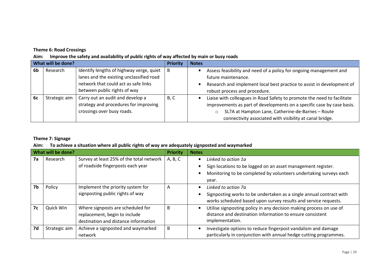### Theme 6: Road Crossings

Aim: Improve the safety and availability of public rights of way affected by main or busy roads

| What will be done? |               |                                          | <b>Priority</b> | <b>Notes</b>                                                            |
|--------------------|---------------|------------------------------------------|-----------------|-------------------------------------------------------------------------|
| 6b                 | Research      | Identify lengths of highway verge, quiet | B               | Assess feasibility and need of a policy for ongoing management and      |
|                    |               | lanes and the existing unclassified road |                 | future maintenance.                                                     |
|                    |               | network that could act as safe links     |                 | Research and implement local best practice to assist in development of  |
|                    |               | between public rights of way             |                 | robust process and procedure.                                           |
| 6c                 | Strategic aim | Carry out an audit and develop a         | B, C            | Liaise with colleagues in Road Safety to promote the need to facilitate |
|                    |               | strategy and procedures for improving    |                 | improvements as part of developments on a specific case by case basis.  |
|                    |               | crossings over busy roads.               |                 | SL7A at Hampton Lane, Catherine-de-Barnes - Route                       |
|                    |               |                                          |                 | connectivity associated with visibility at canal bridge.                |

### Theme 7: Signage

### Aim: To achieve a situation where all public rights of way are adequately signposted and waymarked

| What will be done? |               |                                          | <b>Priority</b> | <b>Notes</b>                                                                     |
|--------------------|---------------|------------------------------------------|-----------------|----------------------------------------------------------------------------------|
| 7a                 | Research      | Survey at least 25% of the total network | A, B, C         | Linked to action 1a<br>$\bullet$                                                 |
|                    |               | of roadside fingerposts each year        |                 | Sign locations to be logged on an asset management register.                     |
|                    |               |                                          |                 | Monitoring to be completed by volunteers undertaking surveys each                |
|                    |               |                                          |                 | year.                                                                            |
| 7b                 | Policy        | Implement the priority system for        | A               | Linked to action 7a                                                              |
|                    |               | signposting public rights of way         |                 | Signposting works to be undertaken as a single annual contract with              |
|                    |               |                                          |                 | works scheduled based upon survey results and service requests.                  |
| 7c                 | Quick Win     | Where signposts are scheduled for        | B               | Utilise signposting policy in any decision making process on use of<br>$\bullet$ |
|                    |               | replacement, begin to include            |                 | distance and destination information to ensure consistent                        |
|                    |               | destination and distance information     |                 | implementation.                                                                  |
| 7d                 | Strategic aim | Achieve a signposted and waymarked       | B               | Investigate options to reduce fingerpost vandalism and damage                    |
|                    |               | network                                  |                 | particularly in conjunction with annual hedge cutting programmes.                |